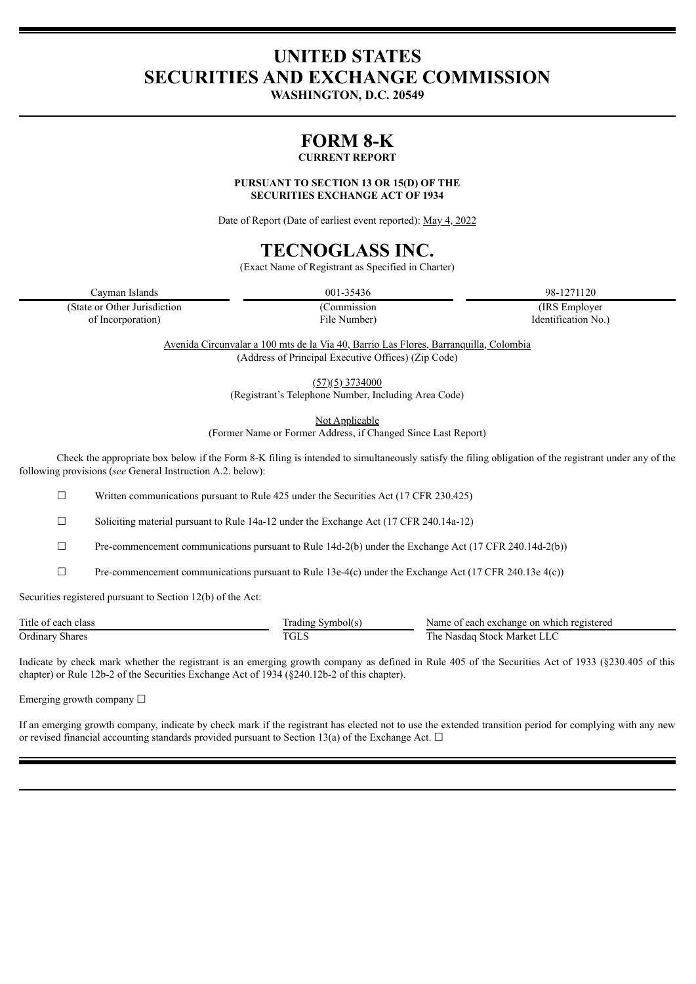# **UNITED STATES SECURITIES AND EXCHANGE COMMISSION**

**WASHINGTON, D.C. 20549**

# **FORM 8-K**

# **CURRENT REPORT**

**PURSUANT TO SECTION 13 OR 15(D) OF THE SECURITIES EXCHANGE ACT OF 1934**

Date of Report (Date of earliest event reported): May 4, 2022

# **TECNOGLASS INC.**

(Exact Name of Registrant as Specified in Charter)

Cayman Islands 001-35436 98-1271120

(State or Other Jurisdiction (Commission (IRS Employer of Incorporation) File Number) Identification No.)

> Avenida Circunvalar a 100 mts de la Via 40, Barrio Las Flores, Barranquilla, Colombia (Address of Principal Executive Offices) (Zip Code)

> > $(57)(5)$  3734000

(Registrant's Telephone Number, Including Area Code)

Not Applicable

(Former Name or Former Address, if Changed Since Last Report)

Check the appropriate box below if the Form 8-K filing is intended to simultaneously satisfy the filing obligation of the registrant under any of the following provisions (*see* General Instruction A.2. below):

 $\Box$  Written communications pursuant to Rule 425 under the Securities Act (17 CFR 230.425)

 $\Box$  Soliciting material pursuant to Rule 14a-12 under the Exchange Act (17 CFR 240.14a-12)

 $\Box$  Pre-commencement communications pursuant to Rule 14d-2(b) under the Exchange Act (17 CFR 240.14d-2(b))

 $\Box$  Pre-commencement communications pursuant to Rule 13e-4(c) under the Exchange Act (17 CFR 240.13e 4(c))

Securities registered pursuant to Section 12(b) of the Act:

| Title of each class | Symbolt s<br>radıng        | Name of<br>ı which registered<br>each exchange on |
|---------------------|----------------------------|---------------------------------------------------|
| Ordinary<br>Shares  | $T\cap I$ c<br>AL 2<br>___ | Market LLC<br><b>Stock</b><br>. he<br>Nasdag      |

Indicate by check mark whether the registrant is an emerging growth company as defined in Rule 405 of the Securities Act of 1933 (§230.405 of this chapter) or Rule 12b-2 of the Securities Exchange Act of 1934 (§240.12b-2 of this chapter).

Emerging growth company ☐

If an emerging growth company, indicate by check mark if the registrant has elected not to use the extended transition period for complying with any new or revised financial accounting standards provided pursuant to Section 13(a) of the Exchange Act.  $\Box$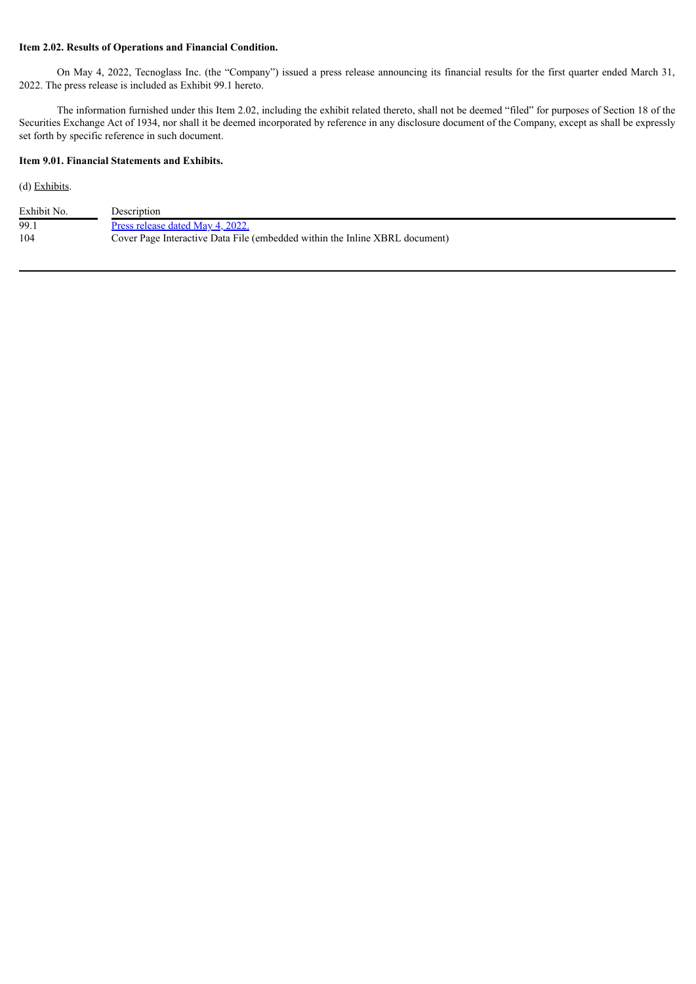# **Item 2.02. Results of Operations and Financial Condition.**

On May 4, 2022, Tecnoglass Inc. (the "Company") issued a press release announcing its financial results for the first quarter ended March 31, 2022. The press release is included as Exhibit 99.1 hereto.

The information furnished under this Item 2.02, including the exhibit related thereto, shall not be deemed "filed" for purposes of Section 18 of the Securities Exchange Act of 1934, nor shall it be deemed incorporated by reference in any disclosure document of the Company, except as shall be expressly set forth by specific reference in such document.

# **Item 9.01. Financial Statements and Exhibits.**

(d) Exhibits.

| Exhibit No. | Description                                                                 |
|-------------|-----------------------------------------------------------------------------|
| -99.        | Press release dated May 4, 2022.                                            |
| 104         | Cover Page Interactive Data File (embedded within the Inline XBRL document) |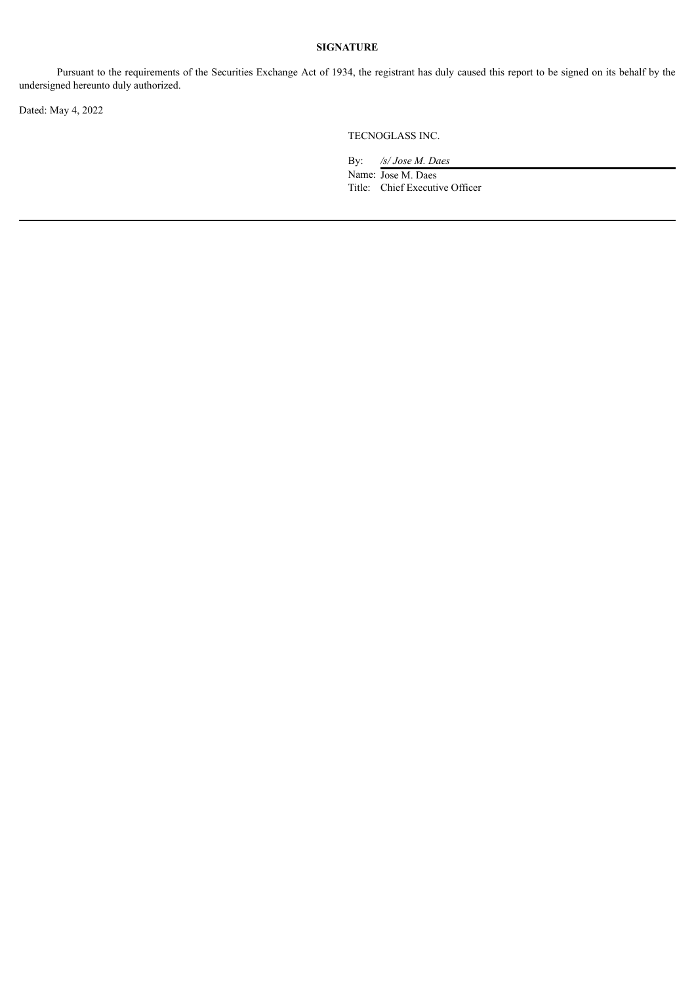# **SIGNATURE**

Pursuant to the requirements of the Securities Exchange Act of 1934, the registrant has duly caused this report to be signed on its behalf by the undersigned hereunto duly authorized.

Dated: May 4, 2022

TECNOGLASS INC.

By: */s/ Jose M. Daes* Name: Jose M. Daes Title: Chief Executive Officer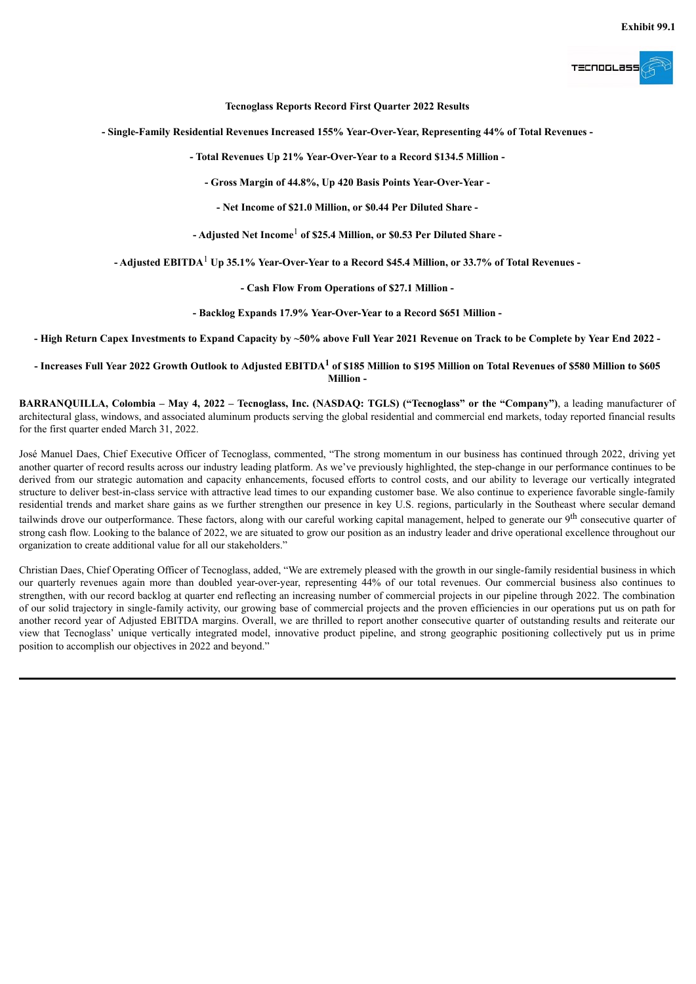

**Tecnoglass Reports Record First Quarter 2022 Results**

<span id="page-3-0"></span>**- Single-Family Residential Revenues Increased 155% Year-Over-Year, Representing 44% of Total Revenues -**

**- Total Revenues Up 21% Year-Over-Year to a Record \$134.5 Million -**

**- Gross Margin of 44.8%, Up 420 Basis Points Year-Over-Year -**

**- Net Income of \$21.0 Million, or \$0.44 Per Diluted Share -**

**- Adjusted Net Income** <sup>1</sup> **of \$25.4 Million, or \$0.53 Per Diluted Share -**

**- Adjusted EBITDA** <sup>1</sup> **Up 35.1% Year-Over-Year to a Record \$45.4 Million, or 33.7% of Total Revenues -**

**- Cash Flow From Operations of \$27.1 Million -**

**- Backlog Expands 17.9% Year-Over-Year to a Record \$651 Million -**

- High Return Capex Investments to Expand Capacity by ~50% above Full Year 2021 Revenue on Track to be Complete by Year End 2022 -

- Increases Full Year 2022 Growth Outlook to Adjusted EBITDA $^1$  of \$185 Million to \$195 Million on Total Revenues of \$580 Million to \$605  $\,$ **Million -**

BARRANQUILLA, Colombia – May 4, 2022 – Tecnoglass, Inc. (NASDAQ: TGLS) ("Tecnoglass" or the "Company"), a leading manufacturer of architectural glass, windows, and associated aluminum products serving the global residential and commercial end markets, today reported financial results for the first quarter ended March 31, 2022.

José Manuel Daes, Chief Executive Officer of Tecnoglass, commented, "The strong momentum in our business has continued through 2022, driving yet another quarter of record results across our industry leading platform. As we've previously highlighted, the step-change in our performance continues to be derived from our strategic automation and capacity enhancements, focused efforts to control costs, and our ability to leverage our vertically integrated structure to deliver best-in-class service with attractive lead times to our expanding customer base. We also continue to experience favorable single-family residential trends and market share gains as we further strengthen our presence in key U.S. regions, particularly in the Southeast where secular demand tailwinds drove our outperformance. These factors, along with our careful working capital management, helped to generate our 9<sup>th</sup> consecutive quarter of strong cash flow. Looking to the balance of 2022, we are situated to grow our position as an industry leader and drive operational excellence throughout our organization to create additional value for all our stakeholders."

Christian Daes, Chief Operating Officer of Tecnoglass, added, "We are extremely pleased with the growth in our single-family residential business in which our quarterly revenues again more than doubled year-over-year, representing 44% of our total revenues. Our commercial business also continues to strengthen, with our record backlog at quarter end reflecting an increasing number of commercial projects in our pipeline through 2022. The combination of our solid trajectory in single-family activity, our growing base of commercial projects and the proven efficiencies in our operations put us on path for another record year of Adjusted EBITDA margins. Overall, we are thrilled to report another consecutive quarter of outstanding results and reiterate our view that Tecnoglass' unique vertically integrated model, innovative product pipeline, and strong geographic positioning collectively put us in prime position to accomplish our objectives in 2022 and beyond."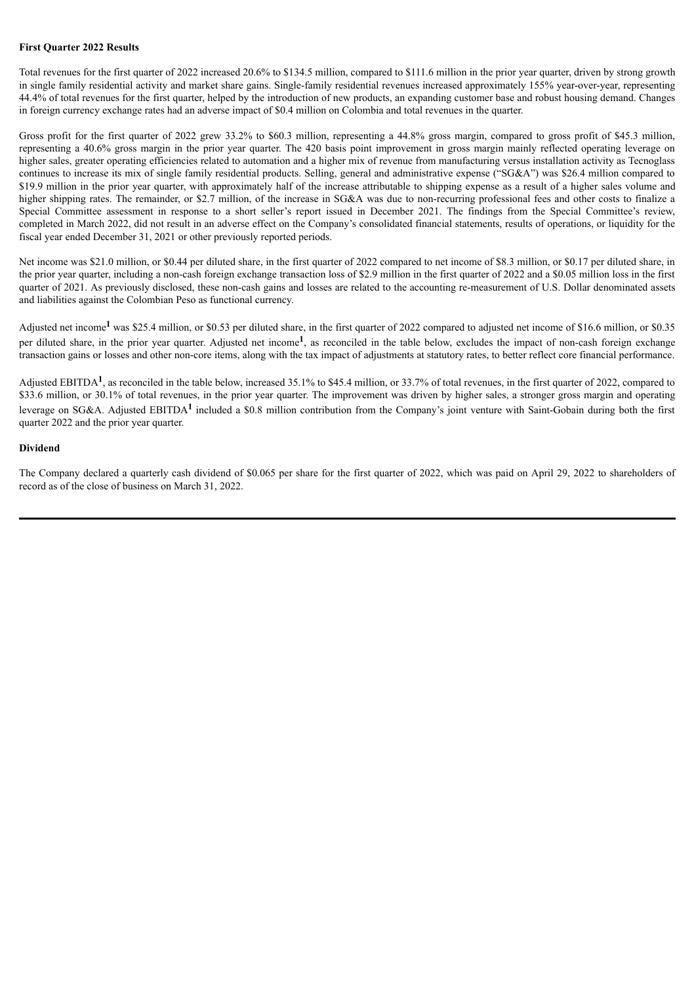#### **First Quarter 2022 Results**

Total revenues for the first quarter of 2022 increased 20.6% to \$134.5 million, compared to \$111.6 million in the prior year quarter, driven by strong growth in single family residential activity and market share gains. Single-family residential revenues increased approximately 155% year-over-year, representing 44.4% of total revenues for the first quarter, helped by the introduction of new products, an expanding customer base and robust housing demand. Changes in foreign currency exchange rates had an adverse impact of \$0.4 million on Colombia and total revenues in the quarter.

Gross profit for the first quarter of 2022 grew 33.2% to \$60.3 million, representing a 44.8% gross margin, compared to gross profit of \$45.3 million, representing a 40.6% gross margin in the prior year quarter. The 420 basis point improvement in gross margin mainly reflected operating leverage on higher sales, greater operating efficiencies related to automation and a higher mix of revenue from manufacturing versus installation activity as Tecnoglass continues to increase its mix of single family residential products. Selling, general and administrative expense ("SG&A") was \$26.4 million compared to \$19.9 million in the prior year quarter, with approximately half of the increase attributable to shipping expense as a result of a higher sales volume and higher shipping rates. The remainder, or \$2.7 million, of the increase in SG&A was due to non-recurring professional fees and other costs to finalize a Special Committee assessment in response to a short seller's report issued in December 2021. The findings from the Special Committee's review, completed in March 2022, did not result in an adverse effect on the Company's consolidated financial statements, results of operations, or liquidity for the fiscal year ended December 31, 2021 or other previously reported periods.

Net income was \$21.0 million, or \$0.44 per diluted share, in the first quarter of 2022 compared to net income of \$8.3 million, or \$0.17 per diluted share, in the prior year quarter, including a non-cash foreign exchange transaction loss of \$2.9 million in the first quarter of 2022 and a \$0.05 million loss in the first quarter of 2021. As previously disclosed, these non-cash gains and losses are related to the accounting re-measurement of U.S. Dollar denominated assets and liabilities against the Colombian Peso as functional currency.

Adjusted net income<sup>1</sup> was \$25.4 million, or \$0.53 per diluted share, in the first quarter of 2022 compared to adjusted net income of \$16.6 million, or \$0.35 per diluted share, in the prior year quarter. Adjusted net income<sup>1</sup>, as reconciled in the table below, excludes the impact of non-cash foreign exchange transaction gains or losses and other non-core items, along with the tax impact of adjustments at statutory rates, to better reflect core financial performance.

Adjusted EBITDA<sup>1</sup>, as reconciled in the table below, increased 35.1% to \$45.4 million, or 33.7% of total revenues, in the first quarter of 2022, compared to \$33.6 million, or 30.1% of total revenues, in the prior year quarter. The improvement was driven by higher sales, a stronger gross margin and operating leverage on SG&A. Adjusted EBITDA<sup>1</sup> included a \$0.8 million contribution from the Company's joint venture with Saint-Gobain during both the first quarter 2022 and the prior year quarter.

#### **Dividend**

The Company declared a quarterly cash dividend of \$0.065 per share for the first quarter of 2022, which was paid on April 29, 2022 to shareholders of record as of the close of business on March 31, 2022.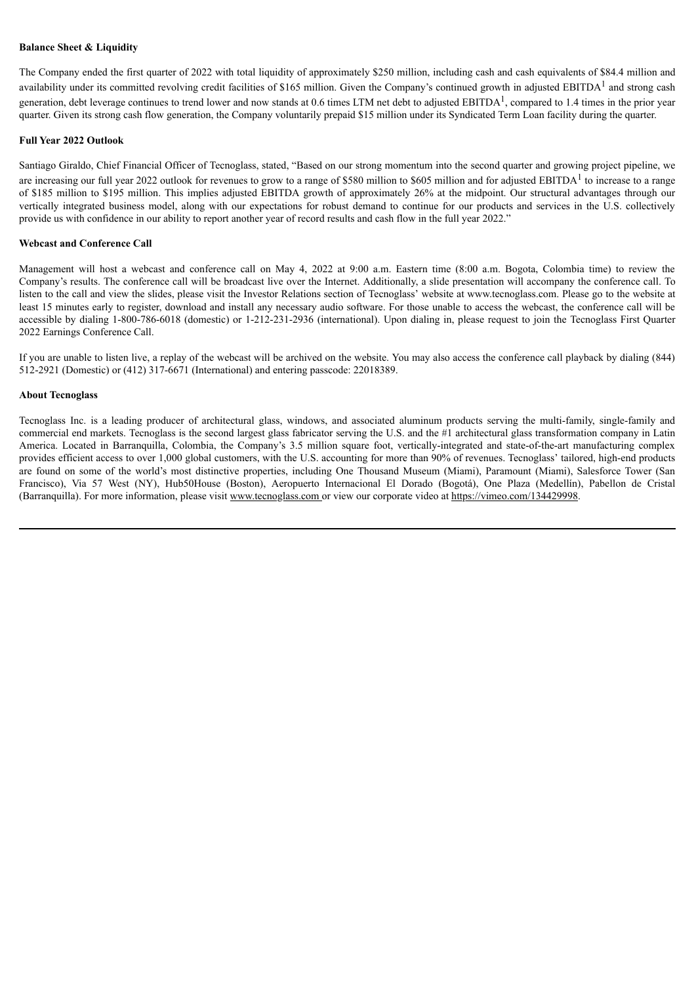#### **Balance Sheet & Liquidity**

The Company ended the first quarter of 2022 with total liquidity of approximately \$250 million, including cash and cash equivalents of \$84.4 million and availability under its committed revolving credit facilities of \$165 million. Given the Company's continued growth in adjusted EBITDA<sup>1</sup> and strong cash generation, debt leverage continues to trend lower and now stands at 0.6 times LTM net debt to adjusted EBITDA<sup>1</sup>, compared to 1.4 times in the prior year quarter. Given its strong cash flow generation, the Company voluntarily prepaid \$15 million under its Syndicated Term Loan facility during the quarter.

#### **Full Year 2022 Outlook**

Santiago Giraldo, Chief Financial Officer of Tecnoglass, stated, "Based on our strong momentum into the second quarter and growing project pipeline, we are increasing our full year 2022 outlook for revenues to grow to a range of \$580 million to \$605 million and for adjusted EBITDA<sup>1</sup> to increase to a range of \$185 million to \$195 million. This implies adjusted EBITDA growth of approximately 26% at the midpoint. Our structural advantages through our vertically integrated business model, along with our expectations for robust demand to continue for our products and services in the U.S. collectively provide us with confidence in our ability to report another year of record results and cash flow in the full year 2022."

#### **Webcast and Conference Call**

Management will host a webcast and conference call on May 4, 2022 at 9:00 a.m. Eastern time (8:00 a.m. Bogota, Colombia time) to review the Company's results. The conference call will be broadcast live over the Internet. Additionally, a slide presentation will accompany the conference call. To listen to the call and view the slides, please visit the Investor Relations section of Tecnoglass' website at www.tecnoglass.com. Please go to the website at least 15 minutes early to register, download and install any necessary audio software. For those unable to access the webcast, the conference call will be accessible by dialing 1-800-786-6018 (domestic) or 1-212-231-2936 (international). Upon dialing in, please request to join the Tecnoglass First Quarter 2022 Earnings Conference Call.

If you are unable to listen live, a replay of the webcast will be archived on the website. You may also access the conference call playback by dialing (844) 512-2921 (Domestic) or (412) 317-6671 (International) and entering passcode: 22018389.

#### **About Tecnoglass**

Tecnoglass Inc. is a leading producer of architectural glass, windows, and associated aluminum products serving the multi-family, single-family and commercial end markets. Tecnoglass is the second largest glass fabricator serving the U.S. and the #1 architectural glass transformation company in Latin America. Located in Barranquilla, Colombia, the Company's 3.5 million square foot, vertically-integrated and state-of-the-art manufacturing complex provides efficient access to over 1,000 global customers, with the U.S. accounting for more than 90% of revenues. Tecnoglass' tailored, high-end products are found on some of the world's most distinctive properties, including One Thousand Museum (Miami), Paramount (Miami), Salesforce Tower (San Francisco), Via 57 West (NY), Hub50House (Boston), Aeropuerto Internacional El Dorado (Bogotá), One Plaza (Medellín), Pabellon de Cristal (Barranquilla). For more information, please visit www.tecnoglass.com or view our corporate video at https://vimeo.com/134429998.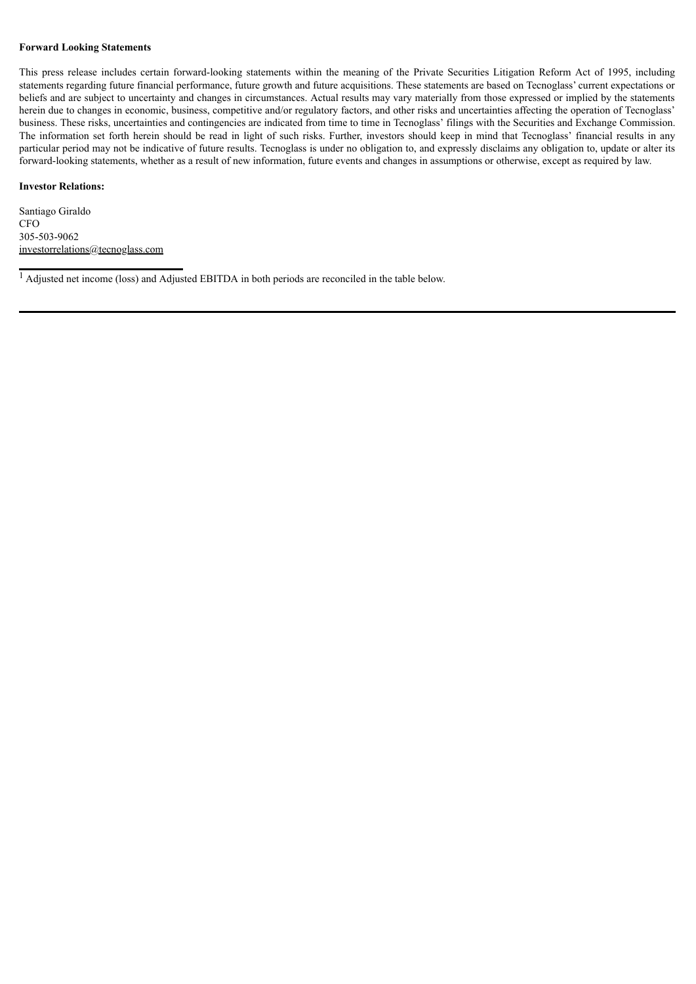#### **Forward Looking Statements**

This press release includes certain forward-looking statements within the meaning of the Private Securities Litigation Reform Act of 1995, including statements regarding future financial performance, future growth and future acquisitions. These statements are based on Tecnoglass' current expectations or beliefs and are subject to uncertainty and changes in circumstances. Actual results may vary materially from those expressed or implied by the statements herein due to changes in economic, business, competitive and/or regulatory factors, and other risks and uncertainties affecting the operation of Tecnoglass' business. These risks, uncertainties and contingencies are indicated from time to time in Tecnoglass' filings with the Securities and Exchange Commission. The information set forth herein should be read in light of such risks. Further, investors should keep in mind that Tecnoglass' financial results in any particular period may not be indicative of future results. Tecnoglass is under no obligation to, and expressly disclaims any obligation to, update or alter its forward-looking statements, whether as a result of new information, future events and changes in assumptions or otherwise, except as required by law.

#### **Investor Relations:**

Santiago Giraldo CFO 305-503-9062 investorrelations@tecnoglass.com

<sup>1</sup> Adjusted net income (loss) and Adjusted EBITDA in both periods are reconciled in the table below.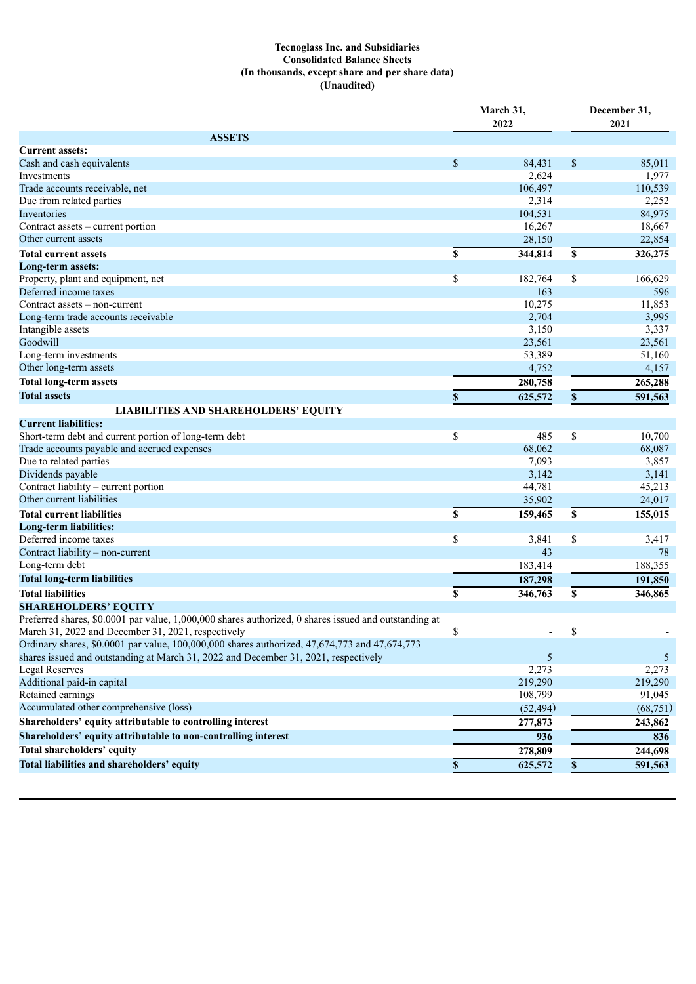# **Tecnoglass Inc. and Subsidiaries Consolidated Balance Sheets (In thousands, except share and per share data) (Unaudited)**

| <b>ASSETS</b><br><b>Current assets:</b><br>$\mathbb{S}$<br>\$<br>Cash and cash equivalents<br>84,431<br>85,011<br>2,624<br>1,977<br>Investments<br>Trade accounts receivable, net<br>106,497<br>110,539<br>Due from related parties<br>2,314<br>2,252<br>104,531<br>84,975<br>Inventories<br>16,267<br>18,667<br>Contract assets – current portion<br>Other current assets<br>22,854<br>28,150<br>344,814<br>326,275<br>\$<br>\$<br><b>Total current assets</b><br>Long-term assets:<br>\$<br>\$<br>166,629<br>182,764<br>Property, plant and equipment, net<br>Deferred income taxes<br>163<br>596<br>Contract assets - non-current<br>10,275<br>11,853<br>2,704<br>Long-term trade accounts receivable<br>3,995<br>Intangible assets<br>3,150<br>3,337<br>Goodwill<br>23,561<br>23,561<br>Long-term investments<br>53,389<br>51,160<br>Other long-term assets<br>4,752<br>4,157<br><b>Total long-term assets</b><br>280,758<br>265,288<br><b>Total assets</b><br>625,572<br>\$<br>591,563<br>\$<br><b>LIABILITIES AND SHAREHOLDERS' EQUITY</b><br><b>Current liabilities:</b><br>\$<br>\$<br>Short-term debt and current portion of long-term debt<br>485<br>10,700<br>Trade accounts payable and accrued expenses<br>68,062<br>68,087<br>Due to related parties<br>7,093<br>3,857<br>Dividends payable<br>3,142<br>3,141<br>Contract liability - current portion<br>44,781<br>45,213<br>Other current liabilities<br>35,902<br>24,017<br><b>Total current liabilities</b><br>\$<br>159,465<br>\$<br>155,015<br>Long-term liabilities:<br>\$<br>\$<br>Deferred income taxes<br>3,841<br>3,417<br>Contract liability - non-current<br>43<br>78<br>Long-term debt<br>183,414<br>188,355<br><b>Total long-term liabilities</b><br>187,298<br>191,850<br>S<br>346,763<br>346,865<br><b>Total liabilities</b><br>\$<br><b>SHAREHOLDERS' EQUITY</b><br>Preferred shares, \$0.0001 par value, 1,000,000 shares authorized, 0 shares issued and outstanding at<br>March 31, 2022 and December 31, 2021, respectively<br>\$<br>\$<br>Ordinary shares, \$0,0001 par value, 100,000,000 shares authorized, 47,674,773 and 47,674,773<br>shares issued and outstanding at March 31, 2022 and December 31, 2021, respectively<br>5<br>5<br>2,273<br>2,273<br><b>Legal Reserves</b><br>Additional paid-in capital<br>219,290<br>219,290<br>Retained earnings<br>108,799<br>91,045<br>Accumulated other comprehensive (loss)<br>(52, 494)<br>(68, 751)<br>Shareholders' equity attributable to controlling interest<br>277,873<br>243,862<br>Shareholders' equity attributable to non-controlling interest<br>936<br>836<br>Total shareholders' equity<br>278,809<br>244,698<br>Total liabilities and shareholders' equity<br>591,563<br>625,572<br>\$<br>\$ | March 31,<br>2022 |  | December 31, |  |      |
|-------------------------------------------------------------------------------------------------------------------------------------------------------------------------------------------------------------------------------------------------------------------------------------------------------------------------------------------------------------------------------------------------------------------------------------------------------------------------------------------------------------------------------------------------------------------------------------------------------------------------------------------------------------------------------------------------------------------------------------------------------------------------------------------------------------------------------------------------------------------------------------------------------------------------------------------------------------------------------------------------------------------------------------------------------------------------------------------------------------------------------------------------------------------------------------------------------------------------------------------------------------------------------------------------------------------------------------------------------------------------------------------------------------------------------------------------------------------------------------------------------------------------------------------------------------------------------------------------------------------------------------------------------------------------------------------------------------------------------------------------------------------------------------------------------------------------------------------------------------------------------------------------------------------------------------------------------------------------------------------------------------------------------------------------------------------------------------------------------------------------------------------------------------------------------------------------------------------------------------------------------------------------------------------------------------------------------------------------------------------------------------------------------------------------------------------------------------------------------------------------------------------------------------------------------------------------------------------------------------------------------------------------------------------------------------------------------------------------------------------------|-------------------|--|--------------|--|------|
|                                                                                                                                                                                                                                                                                                                                                                                                                                                                                                                                                                                                                                                                                                                                                                                                                                                                                                                                                                                                                                                                                                                                                                                                                                                                                                                                                                                                                                                                                                                                                                                                                                                                                                                                                                                                                                                                                                                                                                                                                                                                                                                                                                                                                                                                                                                                                                                                                                                                                                                                                                                                                                                                                                                                                 |                   |  |              |  | 2021 |
|                                                                                                                                                                                                                                                                                                                                                                                                                                                                                                                                                                                                                                                                                                                                                                                                                                                                                                                                                                                                                                                                                                                                                                                                                                                                                                                                                                                                                                                                                                                                                                                                                                                                                                                                                                                                                                                                                                                                                                                                                                                                                                                                                                                                                                                                                                                                                                                                                                                                                                                                                                                                                                                                                                                                                 |                   |  |              |  |      |
|                                                                                                                                                                                                                                                                                                                                                                                                                                                                                                                                                                                                                                                                                                                                                                                                                                                                                                                                                                                                                                                                                                                                                                                                                                                                                                                                                                                                                                                                                                                                                                                                                                                                                                                                                                                                                                                                                                                                                                                                                                                                                                                                                                                                                                                                                                                                                                                                                                                                                                                                                                                                                                                                                                                                                 |                   |  |              |  |      |
|                                                                                                                                                                                                                                                                                                                                                                                                                                                                                                                                                                                                                                                                                                                                                                                                                                                                                                                                                                                                                                                                                                                                                                                                                                                                                                                                                                                                                                                                                                                                                                                                                                                                                                                                                                                                                                                                                                                                                                                                                                                                                                                                                                                                                                                                                                                                                                                                                                                                                                                                                                                                                                                                                                                                                 |                   |  |              |  |      |
|                                                                                                                                                                                                                                                                                                                                                                                                                                                                                                                                                                                                                                                                                                                                                                                                                                                                                                                                                                                                                                                                                                                                                                                                                                                                                                                                                                                                                                                                                                                                                                                                                                                                                                                                                                                                                                                                                                                                                                                                                                                                                                                                                                                                                                                                                                                                                                                                                                                                                                                                                                                                                                                                                                                                                 |                   |  |              |  |      |
|                                                                                                                                                                                                                                                                                                                                                                                                                                                                                                                                                                                                                                                                                                                                                                                                                                                                                                                                                                                                                                                                                                                                                                                                                                                                                                                                                                                                                                                                                                                                                                                                                                                                                                                                                                                                                                                                                                                                                                                                                                                                                                                                                                                                                                                                                                                                                                                                                                                                                                                                                                                                                                                                                                                                                 |                   |  |              |  |      |
|                                                                                                                                                                                                                                                                                                                                                                                                                                                                                                                                                                                                                                                                                                                                                                                                                                                                                                                                                                                                                                                                                                                                                                                                                                                                                                                                                                                                                                                                                                                                                                                                                                                                                                                                                                                                                                                                                                                                                                                                                                                                                                                                                                                                                                                                                                                                                                                                                                                                                                                                                                                                                                                                                                                                                 |                   |  |              |  |      |
|                                                                                                                                                                                                                                                                                                                                                                                                                                                                                                                                                                                                                                                                                                                                                                                                                                                                                                                                                                                                                                                                                                                                                                                                                                                                                                                                                                                                                                                                                                                                                                                                                                                                                                                                                                                                                                                                                                                                                                                                                                                                                                                                                                                                                                                                                                                                                                                                                                                                                                                                                                                                                                                                                                                                                 |                   |  |              |  |      |
|                                                                                                                                                                                                                                                                                                                                                                                                                                                                                                                                                                                                                                                                                                                                                                                                                                                                                                                                                                                                                                                                                                                                                                                                                                                                                                                                                                                                                                                                                                                                                                                                                                                                                                                                                                                                                                                                                                                                                                                                                                                                                                                                                                                                                                                                                                                                                                                                                                                                                                                                                                                                                                                                                                                                                 |                   |  |              |  |      |
|                                                                                                                                                                                                                                                                                                                                                                                                                                                                                                                                                                                                                                                                                                                                                                                                                                                                                                                                                                                                                                                                                                                                                                                                                                                                                                                                                                                                                                                                                                                                                                                                                                                                                                                                                                                                                                                                                                                                                                                                                                                                                                                                                                                                                                                                                                                                                                                                                                                                                                                                                                                                                                                                                                                                                 |                   |  |              |  |      |
|                                                                                                                                                                                                                                                                                                                                                                                                                                                                                                                                                                                                                                                                                                                                                                                                                                                                                                                                                                                                                                                                                                                                                                                                                                                                                                                                                                                                                                                                                                                                                                                                                                                                                                                                                                                                                                                                                                                                                                                                                                                                                                                                                                                                                                                                                                                                                                                                                                                                                                                                                                                                                                                                                                                                                 |                   |  |              |  |      |
|                                                                                                                                                                                                                                                                                                                                                                                                                                                                                                                                                                                                                                                                                                                                                                                                                                                                                                                                                                                                                                                                                                                                                                                                                                                                                                                                                                                                                                                                                                                                                                                                                                                                                                                                                                                                                                                                                                                                                                                                                                                                                                                                                                                                                                                                                                                                                                                                                                                                                                                                                                                                                                                                                                                                                 |                   |  |              |  |      |
|                                                                                                                                                                                                                                                                                                                                                                                                                                                                                                                                                                                                                                                                                                                                                                                                                                                                                                                                                                                                                                                                                                                                                                                                                                                                                                                                                                                                                                                                                                                                                                                                                                                                                                                                                                                                                                                                                                                                                                                                                                                                                                                                                                                                                                                                                                                                                                                                                                                                                                                                                                                                                                                                                                                                                 |                   |  |              |  |      |
|                                                                                                                                                                                                                                                                                                                                                                                                                                                                                                                                                                                                                                                                                                                                                                                                                                                                                                                                                                                                                                                                                                                                                                                                                                                                                                                                                                                                                                                                                                                                                                                                                                                                                                                                                                                                                                                                                                                                                                                                                                                                                                                                                                                                                                                                                                                                                                                                                                                                                                                                                                                                                                                                                                                                                 |                   |  |              |  |      |
|                                                                                                                                                                                                                                                                                                                                                                                                                                                                                                                                                                                                                                                                                                                                                                                                                                                                                                                                                                                                                                                                                                                                                                                                                                                                                                                                                                                                                                                                                                                                                                                                                                                                                                                                                                                                                                                                                                                                                                                                                                                                                                                                                                                                                                                                                                                                                                                                                                                                                                                                                                                                                                                                                                                                                 |                   |  |              |  |      |
|                                                                                                                                                                                                                                                                                                                                                                                                                                                                                                                                                                                                                                                                                                                                                                                                                                                                                                                                                                                                                                                                                                                                                                                                                                                                                                                                                                                                                                                                                                                                                                                                                                                                                                                                                                                                                                                                                                                                                                                                                                                                                                                                                                                                                                                                                                                                                                                                                                                                                                                                                                                                                                                                                                                                                 |                   |  |              |  |      |
|                                                                                                                                                                                                                                                                                                                                                                                                                                                                                                                                                                                                                                                                                                                                                                                                                                                                                                                                                                                                                                                                                                                                                                                                                                                                                                                                                                                                                                                                                                                                                                                                                                                                                                                                                                                                                                                                                                                                                                                                                                                                                                                                                                                                                                                                                                                                                                                                                                                                                                                                                                                                                                                                                                                                                 |                   |  |              |  |      |
|                                                                                                                                                                                                                                                                                                                                                                                                                                                                                                                                                                                                                                                                                                                                                                                                                                                                                                                                                                                                                                                                                                                                                                                                                                                                                                                                                                                                                                                                                                                                                                                                                                                                                                                                                                                                                                                                                                                                                                                                                                                                                                                                                                                                                                                                                                                                                                                                                                                                                                                                                                                                                                                                                                                                                 |                   |  |              |  |      |
|                                                                                                                                                                                                                                                                                                                                                                                                                                                                                                                                                                                                                                                                                                                                                                                                                                                                                                                                                                                                                                                                                                                                                                                                                                                                                                                                                                                                                                                                                                                                                                                                                                                                                                                                                                                                                                                                                                                                                                                                                                                                                                                                                                                                                                                                                                                                                                                                                                                                                                                                                                                                                                                                                                                                                 |                   |  |              |  |      |
|                                                                                                                                                                                                                                                                                                                                                                                                                                                                                                                                                                                                                                                                                                                                                                                                                                                                                                                                                                                                                                                                                                                                                                                                                                                                                                                                                                                                                                                                                                                                                                                                                                                                                                                                                                                                                                                                                                                                                                                                                                                                                                                                                                                                                                                                                                                                                                                                                                                                                                                                                                                                                                                                                                                                                 |                   |  |              |  |      |
|                                                                                                                                                                                                                                                                                                                                                                                                                                                                                                                                                                                                                                                                                                                                                                                                                                                                                                                                                                                                                                                                                                                                                                                                                                                                                                                                                                                                                                                                                                                                                                                                                                                                                                                                                                                                                                                                                                                                                                                                                                                                                                                                                                                                                                                                                                                                                                                                                                                                                                                                                                                                                                                                                                                                                 |                   |  |              |  |      |
|                                                                                                                                                                                                                                                                                                                                                                                                                                                                                                                                                                                                                                                                                                                                                                                                                                                                                                                                                                                                                                                                                                                                                                                                                                                                                                                                                                                                                                                                                                                                                                                                                                                                                                                                                                                                                                                                                                                                                                                                                                                                                                                                                                                                                                                                                                                                                                                                                                                                                                                                                                                                                                                                                                                                                 |                   |  |              |  |      |
|                                                                                                                                                                                                                                                                                                                                                                                                                                                                                                                                                                                                                                                                                                                                                                                                                                                                                                                                                                                                                                                                                                                                                                                                                                                                                                                                                                                                                                                                                                                                                                                                                                                                                                                                                                                                                                                                                                                                                                                                                                                                                                                                                                                                                                                                                                                                                                                                                                                                                                                                                                                                                                                                                                                                                 |                   |  |              |  |      |
|                                                                                                                                                                                                                                                                                                                                                                                                                                                                                                                                                                                                                                                                                                                                                                                                                                                                                                                                                                                                                                                                                                                                                                                                                                                                                                                                                                                                                                                                                                                                                                                                                                                                                                                                                                                                                                                                                                                                                                                                                                                                                                                                                                                                                                                                                                                                                                                                                                                                                                                                                                                                                                                                                                                                                 |                   |  |              |  |      |
|                                                                                                                                                                                                                                                                                                                                                                                                                                                                                                                                                                                                                                                                                                                                                                                                                                                                                                                                                                                                                                                                                                                                                                                                                                                                                                                                                                                                                                                                                                                                                                                                                                                                                                                                                                                                                                                                                                                                                                                                                                                                                                                                                                                                                                                                                                                                                                                                                                                                                                                                                                                                                                                                                                                                                 |                   |  |              |  |      |
|                                                                                                                                                                                                                                                                                                                                                                                                                                                                                                                                                                                                                                                                                                                                                                                                                                                                                                                                                                                                                                                                                                                                                                                                                                                                                                                                                                                                                                                                                                                                                                                                                                                                                                                                                                                                                                                                                                                                                                                                                                                                                                                                                                                                                                                                                                                                                                                                                                                                                                                                                                                                                                                                                                                                                 |                   |  |              |  |      |
|                                                                                                                                                                                                                                                                                                                                                                                                                                                                                                                                                                                                                                                                                                                                                                                                                                                                                                                                                                                                                                                                                                                                                                                                                                                                                                                                                                                                                                                                                                                                                                                                                                                                                                                                                                                                                                                                                                                                                                                                                                                                                                                                                                                                                                                                                                                                                                                                                                                                                                                                                                                                                                                                                                                                                 |                   |  |              |  |      |
|                                                                                                                                                                                                                                                                                                                                                                                                                                                                                                                                                                                                                                                                                                                                                                                                                                                                                                                                                                                                                                                                                                                                                                                                                                                                                                                                                                                                                                                                                                                                                                                                                                                                                                                                                                                                                                                                                                                                                                                                                                                                                                                                                                                                                                                                                                                                                                                                                                                                                                                                                                                                                                                                                                                                                 |                   |  |              |  |      |
|                                                                                                                                                                                                                                                                                                                                                                                                                                                                                                                                                                                                                                                                                                                                                                                                                                                                                                                                                                                                                                                                                                                                                                                                                                                                                                                                                                                                                                                                                                                                                                                                                                                                                                                                                                                                                                                                                                                                                                                                                                                                                                                                                                                                                                                                                                                                                                                                                                                                                                                                                                                                                                                                                                                                                 |                   |  |              |  |      |
|                                                                                                                                                                                                                                                                                                                                                                                                                                                                                                                                                                                                                                                                                                                                                                                                                                                                                                                                                                                                                                                                                                                                                                                                                                                                                                                                                                                                                                                                                                                                                                                                                                                                                                                                                                                                                                                                                                                                                                                                                                                                                                                                                                                                                                                                                                                                                                                                                                                                                                                                                                                                                                                                                                                                                 |                   |  |              |  |      |
|                                                                                                                                                                                                                                                                                                                                                                                                                                                                                                                                                                                                                                                                                                                                                                                                                                                                                                                                                                                                                                                                                                                                                                                                                                                                                                                                                                                                                                                                                                                                                                                                                                                                                                                                                                                                                                                                                                                                                                                                                                                                                                                                                                                                                                                                                                                                                                                                                                                                                                                                                                                                                                                                                                                                                 |                   |  |              |  |      |
|                                                                                                                                                                                                                                                                                                                                                                                                                                                                                                                                                                                                                                                                                                                                                                                                                                                                                                                                                                                                                                                                                                                                                                                                                                                                                                                                                                                                                                                                                                                                                                                                                                                                                                                                                                                                                                                                                                                                                                                                                                                                                                                                                                                                                                                                                                                                                                                                                                                                                                                                                                                                                                                                                                                                                 |                   |  |              |  |      |
|                                                                                                                                                                                                                                                                                                                                                                                                                                                                                                                                                                                                                                                                                                                                                                                                                                                                                                                                                                                                                                                                                                                                                                                                                                                                                                                                                                                                                                                                                                                                                                                                                                                                                                                                                                                                                                                                                                                                                                                                                                                                                                                                                                                                                                                                                                                                                                                                                                                                                                                                                                                                                                                                                                                                                 |                   |  |              |  |      |
|                                                                                                                                                                                                                                                                                                                                                                                                                                                                                                                                                                                                                                                                                                                                                                                                                                                                                                                                                                                                                                                                                                                                                                                                                                                                                                                                                                                                                                                                                                                                                                                                                                                                                                                                                                                                                                                                                                                                                                                                                                                                                                                                                                                                                                                                                                                                                                                                                                                                                                                                                                                                                                                                                                                                                 |                   |  |              |  |      |
|                                                                                                                                                                                                                                                                                                                                                                                                                                                                                                                                                                                                                                                                                                                                                                                                                                                                                                                                                                                                                                                                                                                                                                                                                                                                                                                                                                                                                                                                                                                                                                                                                                                                                                                                                                                                                                                                                                                                                                                                                                                                                                                                                                                                                                                                                                                                                                                                                                                                                                                                                                                                                                                                                                                                                 |                   |  |              |  |      |
|                                                                                                                                                                                                                                                                                                                                                                                                                                                                                                                                                                                                                                                                                                                                                                                                                                                                                                                                                                                                                                                                                                                                                                                                                                                                                                                                                                                                                                                                                                                                                                                                                                                                                                                                                                                                                                                                                                                                                                                                                                                                                                                                                                                                                                                                                                                                                                                                                                                                                                                                                                                                                                                                                                                                                 |                   |  |              |  |      |
|                                                                                                                                                                                                                                                                                                                                                                                                                                                                                                                                                                                                                                                                                                                                                                                                                                                                                                                                                                                                                                                                                                                                                                                                                                                                                                                                                                                                                                                                                                                                                                                                                                                                                                                                                                                                                                                                                                                                                                                                                                                                                                                                                                                                                                                                                                                                                                                                                                                                                                                                                                                                                                                                                                                                                 |                   |  |              |  |      |
|                                                                                                                                                                                                                                                                                                                                                                                                                                                                                                                                                                                                                                                                                                                                                                                                                                                                                                                                                                                                                                                                                                                                                                                                                                                                                                                                                                                                                                                                                                                                                                                                                                                                                                                                                                                                                                                                                                                                                                                                                                                                                                                                                                                                                                                                                                                                                                                                                                                                                                                                                                                                                                                                                                                                                 |                   |  |              |  |      |
|                                                                                                                                                                                                                                                                                                                                                                                                                                                                                                                                                                                                                                                                                                                                                                                                                                                                                                                                                                                                                                                                                                                                                                                                                                                                                                                                                                                                                                                                                                                                                                                                                                                                                                                                                                                                                                                                                                                                                                                                                                                                                                                                                                                                                                                                                                                                                                                                                                                                                                                                                                                                                                                                                                                                                 |                   |  |              |  |      |
|                                                                                                                                                                                                                                                                                                                                                                                                                                                                                                                                                                                                                                                                                                                                                                                                                                                                                                                                                                                                                                                                                                                                                                                                                                                                                                                                                                                                                                                                                                                                                                                                                                                                                                                                                                                                                                                                                                                                                                                                                                                                                                                                                                                                                                                                                                                                                                                                                                                                                                                                                                                                                                                                                                                                                 |                   |  |              |  |      |
|                                                                                                                                                                                                                                                                                                                                                                                                                                                                                                                                                                                                                                                                                                                                                                                                                                                                                                                                                                                                                                                                                                                                                                                                                                                                                                                                                                                                                                                                                                                                                                                                                                                                                                                                                                                                                                                                                                                                                                                                                                                                                                                                                                                                                                                                                                                                                                                                                                                                                                                                                                                                                                                                                                                                                 |                   |  |              |  |      |
|                                                                                                                                                                                                                                                                                                                                                                                                                                                                                                                                                                                                                                                                                                                                                                                                                                                                                                                                                                                                                                                                                                                                                                                                                                                                                                                                                                                                                                                                                                                                                                                                                                                                                                                                                                                                                                                                                                                                                                                                                                                                                                                                                                                                                                                                                                                                                                                                                                                                                                                                                                                                                                                                                                                                                 |                   |  |              |  |      |
|                                                                                                                                                                                                                                                                                                                                                                                                                                                                                                                                                                                                                                                                                                                                                                                                                                                                                                                                                                                                                                                                                                                                                                                                                                                                                                                                                                                                                                                                                                                                                                                                                                                                                                                                                                                                                                                                                                                                                                                                                                                                                                                                                                                                                                                                                                                                                                                                                                                                                                                                                                                                                                                                                                                                                 |                   |  |              |  |      |
|                                                                                                                                                                                                                                                                                                                                                                                                                                                                                                                                                                                                                                                                                                                                                                                                                                                                                                                                                                                                                                                                                                                                                                                                                                                                                                                                                                                                                                                                                                                                                                                                                                                                                                                                                                                                                                                                                                                                                                                                                                                                                                                                                                                                                                                                                                                                                                                                                                                                                                                                                                                                                                                                                                                                                 |                   |  |              |  |      |
|                                                                                                                                                                                                                                                                                                                                                                                                                                                                                                                                                                                                                                                                                                                                                                                                                                                                                                                                                                                                                                                                                                                                                                                                                                                                                                                                                                                                                                                                                                                                                                                                                                                                                                                                                                                                                                                                                                                                                                                                                                                                                                                                                                                                                                                                                                                                                                                                                                                                                                                                                                                                                                                                                                                                                 |                   |  |              |  |      |
|                                                                                                                                                                                                                                                                                                                                                                                                                                                                                                                                                                                                                                                                                                                                                                                                                                                                                                                                                                                                                                                                                                                                                                                                                                                                                                                                                                                                                                                                                                                                                                                                                                                                                                                                                                                                                                                                                                                                                                                                                                                                                                                                                                                                                                                                                                                                                                                                                                                                                                                                                                                                                                                                                                                                                 |                   |  |              |  |      |
|                                                                                                                                                                                                                                                                                                                                                                                                                                                                                                                                                                                                                                                                                                                                                                                                                                                                                                                                                                                                                                                                                                                                                                                                                                                                                                                                                                                                                                                                                                                                                                                                                                                                                                                                                                                                                                                                                                                                                                                                                                                                                                                                                                                                                                                                                                                                                                                                                                                                                                                                                                                                                                                                                                                                                 |                   |  |              |  |      |
|                                                                                                                                                                                                                                                                                                                                                                                                                                                                                                                                                                                                                                                                                                                                                                                                                                                                                                                                                                                                                                                                                                                                                                                                                                                                                                                                                                                                                                                                                                                                                                                                                                                                                                                                                                                                                                                                                                                                                                                                                                                                                                                                                                                                                                                                                                                                                                                                                                                                                                                                                                                                                                                                                                                                                 |                   |  |              |  |      |
|                                                                                                                                                                                                                                                                                                                                                                                                                                                                                                                                                                                                                                                                                                                                                                                                                                                                                                                                                                                                                                                                                                                                                                                                                                                                                                                                                                                                                                                                                                                                                                                                                                                                                                                                                                                                                                                                                                                                                                                                                                                                                                                                                                                                                                                                                                                                                                                                                                                                                                                                                                                                                                                                                                                                                 |                   |  |              |  |      |
|                                                                                                                                                                                                                                                                                                                                                                                                                                                                                                                                                                                                                                                                                                                                                                                                                                                                                                                                                                                                                                                                                                                                                                                                                                                                                                                                                                                                                                                                                                                                                                                                                                                                                                                                                                                                                                                                                                                                                                                                                                                                                                                                                                                                                                                                                                                                                                                                                                                                                                                                                                                                                                                                                                                                                 |                   |  |              |  |      |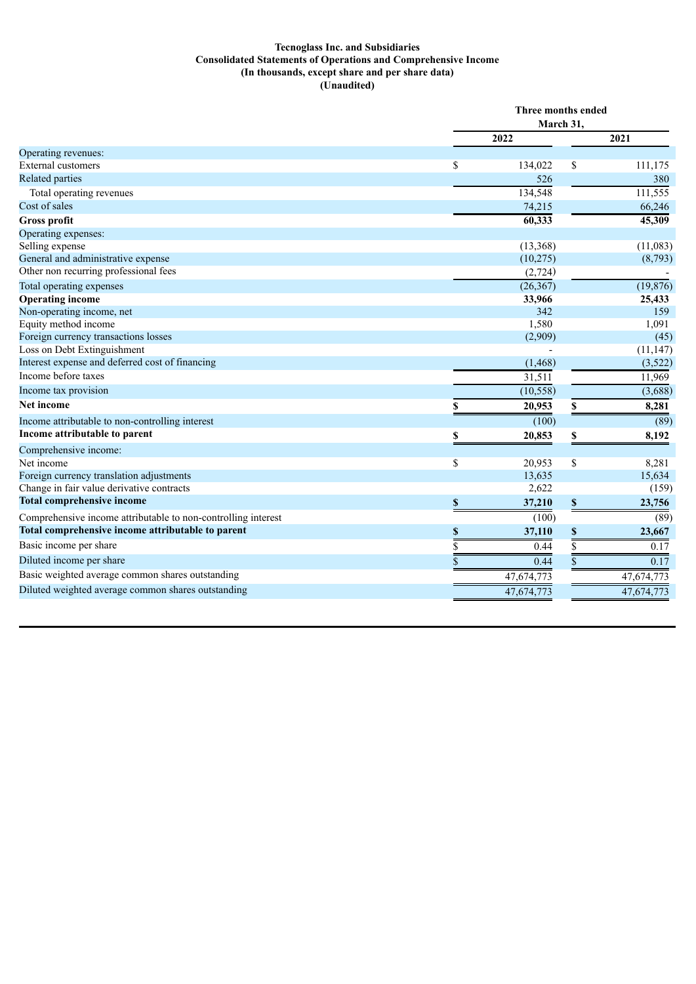## **Tecnoglass Inc. and Subsidiaries Consolidated Statements of Operations and Comprehensive Income (In thousands, except share and per share data) (Unaudited)**

|                                                               | Three months ended<br>March 31, |                    |            |  |
|---------------------------------------------------------------|---------------------------------|--------------------|------------|--|
|                                                               | 2022                            |                    |            |  |
| Operating revenues:                                           |                                 |                    | 2021       |  |
| <b>External customers</b>                                     | \$<br>134,022                   | \$                 | 111,175    |  |
| Related parties                                               | 526                             |                    | 380        |  |
| Total operating revenues                                      | 134,548                         |                    | 111,555    |  |
| Cost of sales                                                 | 74,215                          |                    | 66,246     |  |
| <b>Gross profit</b>                                           | 60,333                          |                    | 45,309     |  |
| Operating expenses:                                           |                                 |                    |            |  |
| Selling expense                                               | (13,368)                        |                    | (11,083)   |  |
| General and administrative expense                            | (10, 275)                       |                    | (8,793)    |  |
| Other non recurring professional fees                         | (2,724)                         |                    |            |  |
| Total operating expenses                                      | (26, 367)                       |                    | (19, 876)  |  |
| <b>Operating income</b>                                       | 33,966                          |                    | 25,433     |  |
| Non-operating income, net                                     | 342                             |                    | 159        |  |
| Equity method income                                          | 1,580                           |                    | 1,091      |  |
| Foreign currency transactions losses                          | (2,909)                         |                    | (45)       |  |
| Loss on Debt Extinguishment                                   |                                 |                    | (11, 147)  |  |
| Interest expense and deferred cost of financing               | (1, 468)                        |                    | (3,522)    |  |
| Income before taxes                                           | 31,511                          |                    | 11,969     |  |
| Income tax provision                                          | (10, 558)                       |                    | (3,688)    |  |
| <b>Net income</b>                                             | 20,953                          | S                  | 8,281      |  |
| Income attributable to non-controlling interest               | (100)                           |                    | (89)       |  |
| Income attributable to parent                                 | \$<br>20,853                    | \$                 | 8,192      |  |
| Comprehensive income:                                         |                                 |                    |            |  |
| Net income                                                    | \$<br>20,953                    | \$                 | 8,281      |  |
| Foreign currency translation adjustments                      | 13,635                          |                    | 15,634     |  |
| Change in fair value derivative contracts                     | 2,622                           |                    | (159)      |  |
| <b>Total comprehensive income</b>                             | \$<br>37,210                    | $\pmb{\mathbb{S}}$ | 23,756     |  |
| Comprehensive income attributable to non-controlling interest | (100)                           |                    | (89)       |  |
| Total comprehensive income attributable to parent             | \$<br>37,110                    | \$                 | 23,667     |  |
| Basic income per share                                        | \$<br>0.44                      | \$                 | 0.17       |  |
| Diluted income per share                                      | \$<br>0.44                      | \$                 | 0.17       |  |
| Basic weighted average common shares outstanding              | 47,674,773                      |                    | 47,674,773 |  |
| Diluted weighted average common shares outstanding            | 47,674,773                      |                    | 47,674,773 |  |
|                                                               |                                 |                    |            |  |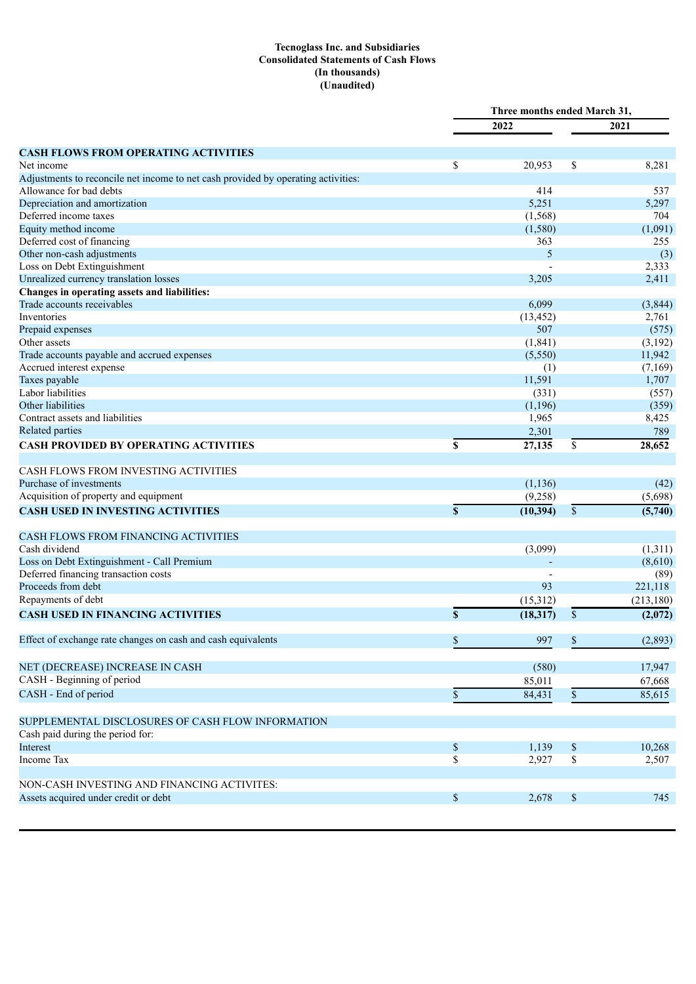## **Tecnoglass Inc. and Subsidiaries Consolidated Statements of Cash Flows (In thousands) (Unaudited)**

|                                                                                   |             | Three months ended March 31, |               |                  |
|-----------------------------------------------------------------------------------|-------------|------------------------------|---------------|------------------|
|                                                                                   |             | 2022                         |               | 2021             |
|                                                                                   |             |                              |               |                  |
| <b>CASH FLOWS FROM OPERATING ACTIVITIES</b>                                       |             |                              |               |                  |
| Net income                                                                        | \$          | 20,953                       | \$            | 8,281            |
| Adjustments to reconcile net income to net cash provided by operating activities: |             |                              |               |                  |
| Allowance for bad debts                                                           |             | 414                          |               | 537              |
| Depreciation and amortization                                                     |             | 5,251                        |               | 5,297            |
| Deferred income taxes<br>Equity method income                                     |             | (1, 568)                     |               | 704              |
|                                                                                   |             | (1,580)<br>363               |               | (1,091)          |
| Deferred cost of financing<br>Other non-cash adjustments                          |             | 5                            |               | 255              |
|                                                                                   |             |                              |               | (3)              |
| Loss on Debt Extinguishment<br>Unrealized currency translation losses             |             | 3,205                        |               | 2,333<br>2,411   |
| Changes in operating assets and liabilities:                                      |             |                              |               |                  |
| Trade accounts receivables                                                        |             | 6,099                        |               | (3,844)          |
| Inventories                                                                       |             | (13, 452)                    |               | 2,761            |
|                                                                                   |             | 507                          |               |                  |
| Prepaid expenses<br>Other assets                                                  |             | (1, 841)                     |               | (575)<br>(3,192) |
|                                                                                   |             | (5,550)                      |               | 11,942           |
| Trade accounts payable and accrued expenses                                       |             |                              |               |                  |
| Accrued interest expense                                                          |             | (1)<br>11,591                |               | (7,169)          |
| Taxes payable<br>Labor liabilities                                                |             |                              |               | 1,707            |
| Other liabilities                                                                 |             | (331)<br>(1,196)             |               | (557)<br>(359)   |
| Contract assets and liabilities                                                   |             | 1,965                        |               | 8,425            |
| Related parties                                                                   |             |                              |               |                  |
|                                                                                   |             | 2,301                        |               | 789              |
| <b>CASH PROVIDED BY OPERATING ACTIVITIES</b>                                      | \$          | 27,135                       | \$            | 28,652           |
| CASH FLOWS FROM INVESTING ACTIVITIES                                              |             |                              |               |                  |
| Purchase of investments                                                           |             | (1, 136)                     |               | (42)             |
| Acquisition of property and equipment                                             |             | (9,258)                      |               | (5,698)          |
| <b>CASH USED IN INVESTING ACTIVITIES</b>                                          | $\mathbf S$ | (10, 394)                    | $\mathsf{\$}$ | (5,740)          |
|                                                                                   |             |                              |               |                  |
| CASH FLOWS FROM FINANCING ACTIVITIES                                              |             |                              |               |                  |
| Cash dividend                                                                     |             | (3,099)                      |               | (1,311)          |
| Loss on Debt Extinguishment - Call Premium                                        |             |                              |               | (8,610)          |
| Deferred financing transaction costs                                              |             |                              |               | (89)             |
| Proceeds from debt                                                                |             | 93                           |               | 221,118          |
| Repayments of debt                                                                |             | (15,312)                     |               | (213, 180)       |
| <b>CASH USED IN FINANCING ACTIVITIES</b>                                          | $\mathbf S$ | (18, 317)                    | $\mathbb{S}$  | (2,072)          |
|                                                                                   |             |                              |               |                  |
| Effect of exchange rate changes on cash and cash equivalents                      | \$          | 997                          | $\mathbb S$   | (2,893)          |
| NET (DECREASE) INCREASE IN CASH                                                   |             | (580)                        |               | 17,947           |
| CASH - Beginning of period                                                        |             | 85,011                       |               | 67,668           |
| CASH - End of period                                                              | \$          | 84,431                       | $\mathbb S$   | 85,615           |
|                                                                                   |             |                              |               |                  |
| SUPPLEMENTAL DISCLOSURES OF CASH FLOW INFORMATION                                 |             |                              |               |                  |
| Cash paid during the period for:                                                  |             |                              |               |                  |
| Interest                                                                          | \$          | 1,139                        | \$            | 10,268           |
| Income Tax                                                                        | \$          | 2,927                        | \$            | 2,507            |
|                                                                                   |             |                              |               |                  |
| NON-CASH INVESTING AND FINANCING ACTIVITES:                                       |             |                              |               |                  |
| Assets acquired under credit or debt                                              | \$          | 2,678                        | $\$$          | 745              |
|                                                                                   |             |                              |               |                  |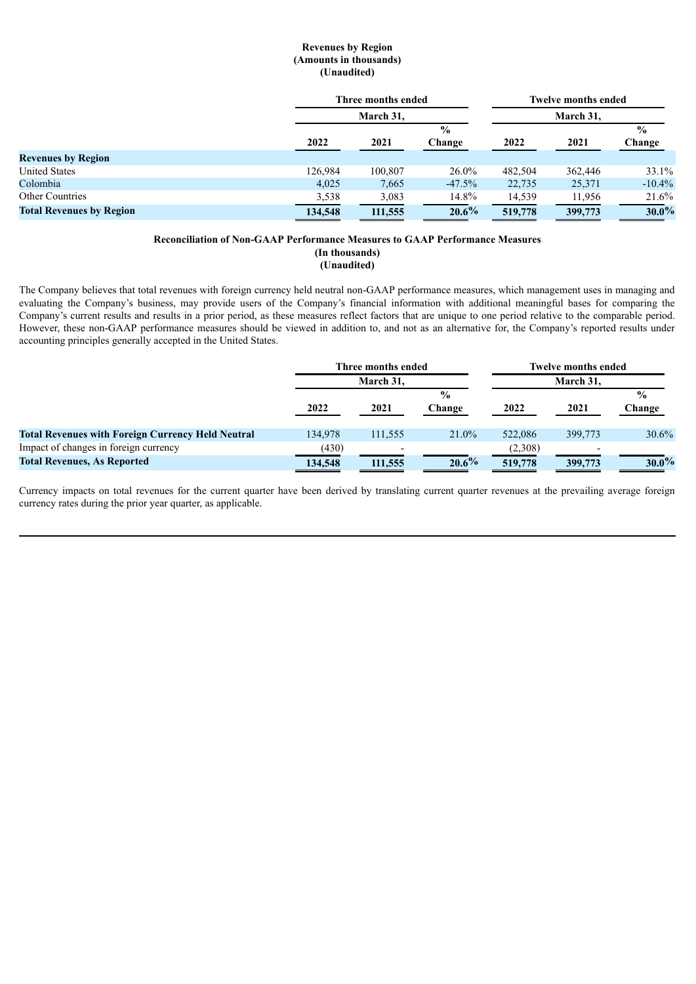## **Revenues by Region (Amounts in thousands) (Unaudited)**

|                                 | Three months ended<br>March 31. |               | <b>Twelve months ended</b> |         |         |               |
|---------------------------------|---------------------------------|---------------|----------------------------|---------|---------|---------------|
|                                 |                                 |               | March 31,                  |         |         |               |
|                                 |                                 | $\frac{0}{0}$ |                            |         |         | $\frac{0}{0}$ |
|                                 | 2022                            | 2021          | Change                     | 2022    | 2021    | Change        |
| <b>Revenues by Region</b>       |                                 |               |                            |         |         |               |
| <b>United States</b>            | 126,984                         | 100,807       | $26.0\%$                   | 482.504 | 362,446 | 33.1%         |
| Colombia                        | 4,025                           | 7,665         | $-47.5%$                   | 22,735  | 25,371  | $-10.4\%$     |
| <b>Other Countries</b>          | 3,538                           | 3,083         | 14.8%                      | 14,539  | 11,956  | 21.6%         |
| <b>Total Revenues by Region</b> | 134,548                         | 111,555       | $20.6\%$                   | 519,778 | 399,773 | $30.0\%$      |

#### **Reconciliation of Non-GAAP Performance Measures to GAAP Performance Measures (In thousands) (Unaudited)**

The Company believes that total revenues with foreign currency held neutral non-GAAP performance measures, which management uses in managing and evaluating the Company's business, may provide users of the Company's financial information with additional meaningful bases for comparing the Company's current results and results in a prior period, as these measures reflect factors that are unique to one period relative to the comparable period. However, these non-GAAP performance measures should be viewed in addition to, and not as an alternative for, the Company's reported results under accounting principles generally accepted in the United States.

|                                                          | Three months ended<br>March 31. |                          | <b>Twelve months ended</b> |         |         |          |  |
|----------------------------------------------------------|---------------------------------|--------------------------|----------------------------|---------|---------|----------|--|
|                                                          |                                 |                          | March 31.                  |         |         |          |  |
|                                                          |                                 |                          | $\frac{6}{9}$              |         |         |          |  |
|                                                          | 2022                            | 2021                     | Change                     | 2022    | 2021    | Change   |  |
|                                                          |                                 |                          |                            |         |         |          |  |
| <b>Total Revenues with Foreign Currency Held Neutral</b> | 134,978                         | 111,555                  | 21.0%                      | 522,086 | 399,773 | 30.6%    |  |
| Impact of changes in foreign currency                    | (430)                           | $\overline{\phantom{0}}$ |                            | (2,308) |         |          |  |
| <b>Total Revenues, As Reported</b>                       | 134,548                         | 111,555                  | $20.6\%$                   | 519,778 | 399,773 | $30.0\%$ |  |

Currency impacts on total revenues for the current quarter have been derived by translating current quarter revenues at the prevailing average foreign currency rates during the prior year quarter, as applicable.